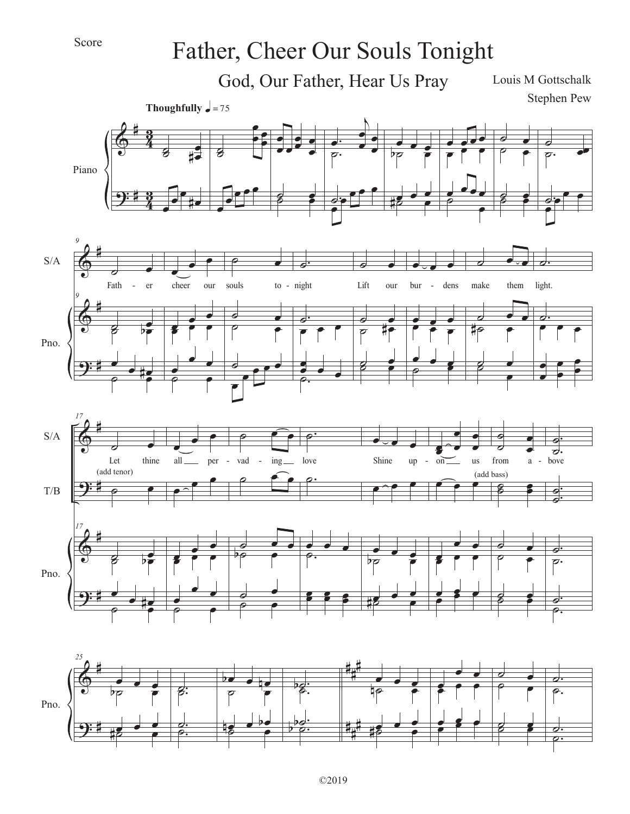## Father, Cheer Our Souls Tonight

God, Our Father, Hear Us Pray

Louis M Gottschalk Stephen Pew







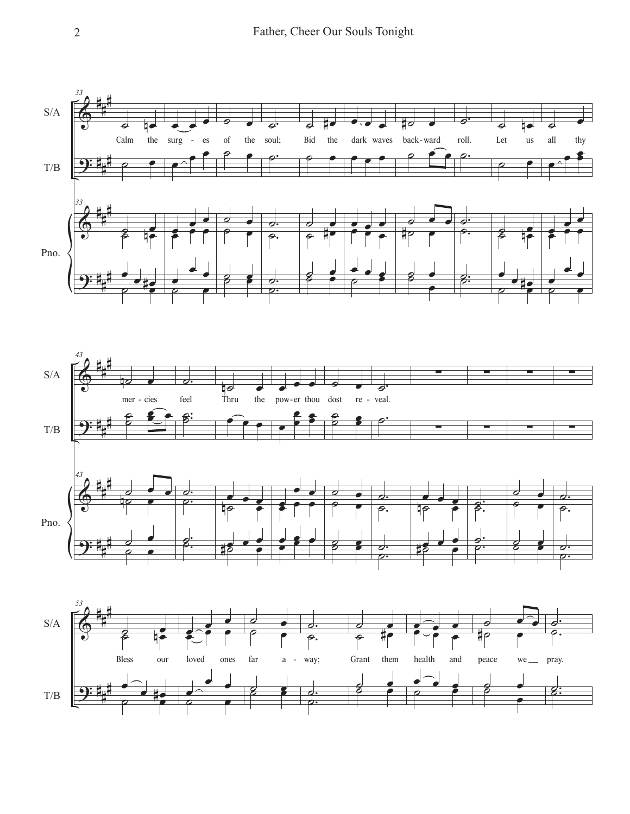



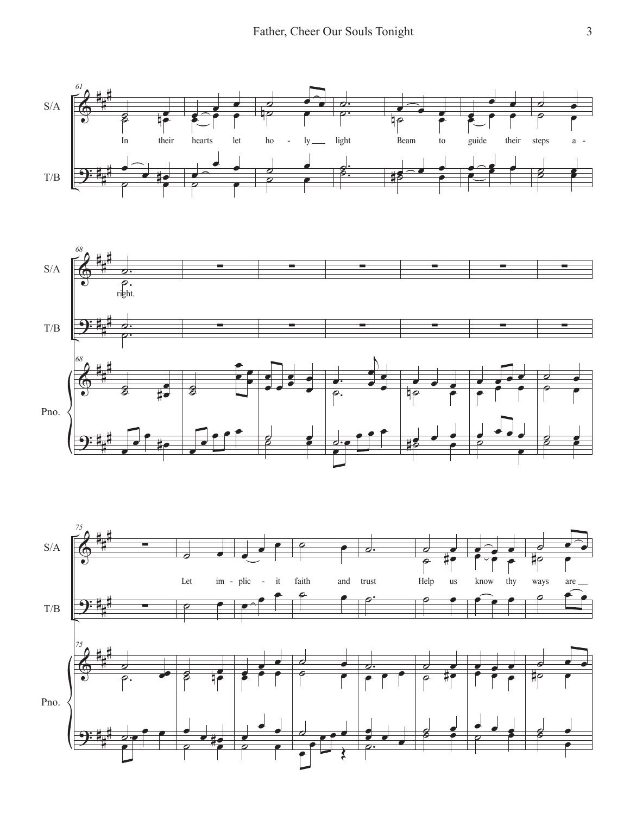